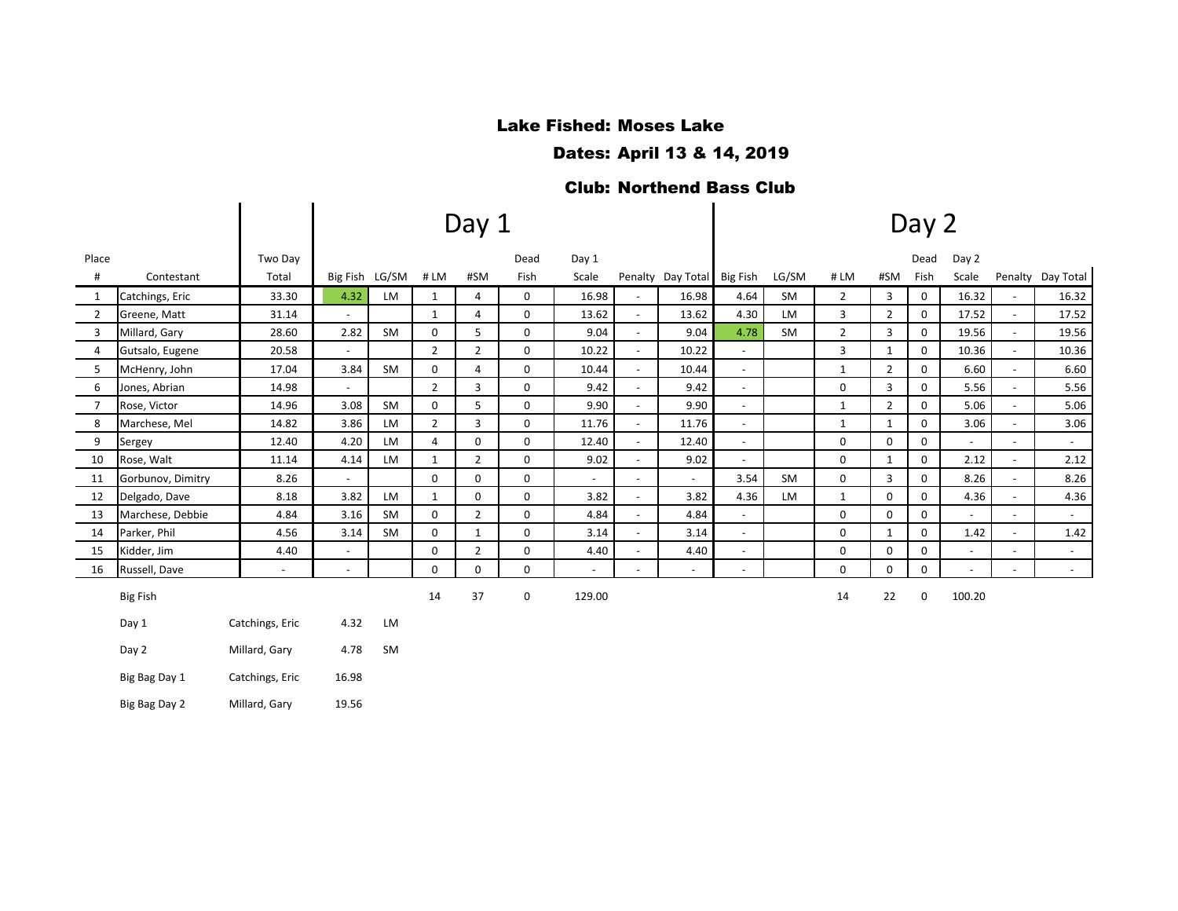# Lake Fished: Moses Lake

Dates: April 13 & 14, 2019

#### Club: Northend Bass Club

|                |                   |                 |                          |                |                | Day 1          |              |        | Day 2                    |                            |                             |           |                |                |              |                |                          |                     |  |
|----------------|-------------------|-----------------|--------------------------|----------------|----------------|----------------|--------------|--------|--------------------------|----------------------------|-----------------------------|-----------|----------------|----------------|--------------|----------------|--------------------------|---------------------|--|
| Place          |                   | Two Day         |                          |                |                |                | Dead         | Day 1  |                          |                            |                             |           |                |                | Dead         | Day 2          |                          |                     |  |
| $\#$           | Contestant        | Total           |                          | Big Fish LG/SM | #LM            | #SM            | Fish         | Scale  |                          | Penalty Day Total Big Fish |                             | LG/SM     | #LM            | #SM            | Fish         | Scale          |                          | Penalty Day Total   |  |
| 1              | Catchings, Eric   | 33.30           | 4.32                     | LM             | 1              | 4              | $\mathbf{0}$ | 16.98  | $\sim$                   | 16.98                      | 4.64                        | SM        | $\overline{2}$ | 3              | $\mathsf{O}$ | 16.32          | $\overline{\phantom{a}}$ | 16.32               |  |
| $\overline{2}$ | Greene, Matt      | 31.14           |                          |                | $\mathbf{1}$   | 4              | $\mathbf 0$  | 13.62  | $\overline{\phantom{a}}$ | 13.62                      | 4.30                        | <b>LM</b> | 3              | $\overline{2}$ | $\mathbf 0$  | 17.52          |                          | 17.52               |  |
| 3              | Millard, Gary     | 28.60           | 2.82                     | SM             | $\mathbf 0$    | 5              | $\mathbf 0$  | 9.04   | $\sim$                   | 9.04                       | 4.78                        | <b>SM</b> | $\overline{2}$ | 3              | $\mathbf 0$  | 19.56          |                          | 19.56               |  |
| $\overline{4}$ | Gutsalo, Eugene   | 20.58           | $\sim$                   |                | $\overline{2}$ | $\overline{2}$ | 0            | 10.22  | $\overline{\phantom{a}}$ | 10.22                      | $\sim$                      |           | 3              | $\mathbf{1}$   | $\mathbf 0$  | 10.36          | $\sim$                   | 10.36               |  |
| 5              | McHenry, John     | 17.04           | 3.84                     | SM             | 0              | 4              | 0            | 10.44  | $\blacksquare$           | 10.44                      | $\sim$                      |           | $\mathbf{1}$   | $\overline{2}$ | 0            | 6.60           |                          | 6.60                |  |
| 6              | Jones, Abrian     | 14.98           | $\sim$                   |                | $\overline{2}$ | 3              | $\mathbf 0$  | 9.42   | $\omega$                 | 9.42                       | $\blacksquare$              |           | $\mathbf 0$    | 3              | $\mathbf 0$  | 5.56           |                          | 5.56                |  |
| $\overline{7}$ | Rose, Victor      | 14.96           | 3.08                     | SM             | 0              | 5              | 0            | 9.90   | $\overline{\phantom{a}}$ | 9.90                       | $\overline{\phantom{a}}$    |           | $\mathbf{1}$   | $\overline{2}$ | 0            | 5.06           |                          | 5.06                |  |
| 8              | Marchese, Mel     | 14.82           | 3.86                     | LM             | $\overline{2}$ | 3              | 0            | 11.76  | $\overline{\phantom{a}}$ | 11.76                      | $\sim$                      |           | $\mathbf{1}$   | 1              | 0            | 3.06           |                          | 3.06                |  |
| 9              | Sergey            | 12.40           | 4.20                     | <b>LM</b>      | $\overline{4}$ | $\Omega$       | $\Omega$     | 12.40  | $\omega$                 | 12.40                      | $\omega$                    |           | $\mathbf 0$    | $\Omega$       | $\Omega$     | $\sim$         | $\sim$                   | $\sim$              |  |
| 10             | Rose, Walt        | 11.14           | 4.14                     | LM             | $\mathbf{1}$   | $\overline{2}$ | $\mathbf 0$  | 9.02   | $\overline{\phantom{a}}$ | 9.02                       | $\overline{\phantom{a}}$    |           | 0              | 1              | $\mathbf 0$  | 2.12           |                          | 2.12                |  |
| 11             | Gorbunov, Dimitry | 8.26            |                          |                | $\mathbf 0$    | $\mathbf 0$    | $\mathbf 0$  | $\sim$ | $\overline{\phantom{a}}$ | $\sim$                     | 3.54                        | <b>SM</b> | 0              | 3              | $\mathsf{O}$ | 8.26           |                          | 8.26                |  |
| 12             | Delgado, Dave     | 8.18            | 3.82                     | LM             | $\mathbf{1}$   | $\mathbf 0$    | $\mathbf 0$  | 3.82   | $\overline{\phantom{a}}$ | 3.82                       | 4.36                        | LM        | $\mathbf{1}$   | $\mathbf 0$    | $\mathbf 0$  | 4.36           |                          | 4.36                |  |
| 13             | Marchese, Debbie  | 4.84            | 3.16                     | SM             | 0              | $\overline{2}$ | 0            | 4.84   | $\sim$                   | 4.84                       | $\mathcal{L}_{\mathcal{A}}$ |           | 0              | $\Omega$       | $\mathbf 0$  | $\sim$         | $\overline{\phantom{a}}$ | $\omega_{\rm{eff}}$ |  |
| 14             | Parker, Phil      | 4.56            | 3.14                     | SM             | 0              | 1              | $\mathbf 0$  | 3.14   | $\blacksquare$           | 3.14                       | $\sim$                      |           | $\mathbf 0$    | 1              | $\mathbf 0$  | 1.42           |                          | 1.42                |  |
| 15             | Kidder, Jim       | 4.40            | $\blacksquare$           |                | 0              | $\overline{2}$ | $\mathbf 0$  | 4.40   | $\overline{\phantom{a}}$ | 4.40                       | $\overline{\phantom{a}}$    |           | 0              | $\mathbf 0$    | $\mathbf 0$  | $\blacksquare$ |                          | $\sim$              |  |
| 16             | Russell, Dave     | $\blacksquare$  | $\overline{\phantom{a}}$ |                | 0              | $\Omega$       | $\mathbf 0$  | $\sim$ | $\sim$                   | $\blacksquare$             | $\sim$                      |           | 0              | $\Omega$       | 0            | $\sim$         | $\overline{\phantom{a}}$ | $\sim$              |  |
|                | <b>Big Fish</b>   |                 |                          |                | 14             | 37             | $\mathbf 0$  | 129.00 |                          |                            |                             |           | 14             | 22             | $\mathbf 0$  | 100.20         |                          |                     |  |
|                | Day 1             | Catchings, Eric | 4.32                     | LM             |                |                |              |        |                          |                            |                             |           |                |                |              |                |                          |                     |  |
|                | Day 2             | Millard, Gary   | 4.78                     | SM             |                |                |              |        |                          |                            |                             |           |                |                |              |                |                          |                     |  |
|                | Big Bag Day 1     | Catchings, Eric | 16.98                    |                |                |                |              |        |                          |                            |                             |           |                |                |              |                |                          |                     |  |
|                | Big Bag Day 2     | Millard, Gary   | 19.56                    |                |                |                |              |        |                          |                            |                             |           |                |                |              |                |                          |                     |  |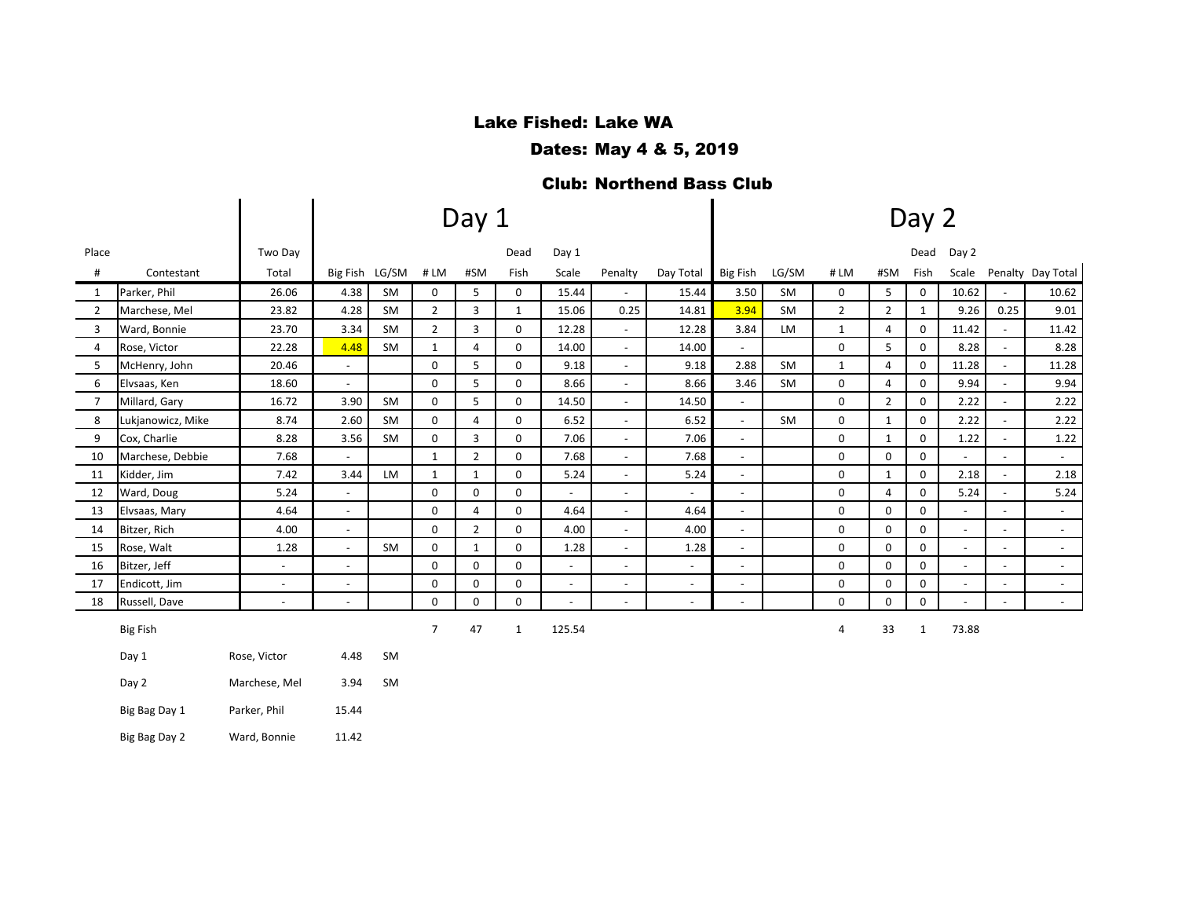# Lake Fished: Lake WA

Dates: May 4 & 5, 2019

#### Club: Northend Bass Club

|                |                   |                          |                          |           |                | Day 1          |              |                          |                          | Day 2                    |                          |           |                |                |              |                |                          |                     |  |
|----------------|-------------------|--------------------------|--------------------------|-----------|----------------|----------------|--------------|--------------------------|--------------------------|--------------------------|--------------------------|-----------|----------------|----------------|--------------|----------------|--------------------------|---------------------|--|
| Place          |                   | Two Day                  |                          |           |                |                | Dead         | Day 1                    |                          |                          |                          |           |                |                | Dead         | Day 2          |                          |                     |  |
| $\#$           | Contestant        | Total                    | Big Fish LG/SM           |           | #LM            | #SM            | Fish         | Scale                    | Penalty                  | Day Total                | Big Fish                 | LG/SM     | #LM            | #SM            | Fish         | Scale          |                          | Penalty Day Total   |  |
| 1              | Parker, Phil      | 26.06                    | 4.38                     | SM        | 0              | 5              | 0            | 15.44                    |                          | 15.44                    | 3.50                     | SM        | 0              | 5              | 0            | 10.62          |                          | 10.62               |  |
| 2              | Marchese, Mel     | 23.82                    | 4.28                     | SM        | 2              | 3              | $\mathbf{1}$ | 15.06                    | 0.25                     | 14.81                    | 3.94                     | SM        | $\overline{2}$ | $\overline{2}$ | $\mathbf{1}$ | 9.26           | 0.25                     | 9.01                |  |
| 3              | Ward, Bonnie      | 23.70                    | 3.34                     | SM        | 2              | 3              | 0            | 12.28                    | $\sim$                   | 12.28                    | 3.84                     | <b>LM</b> | $\mathbf{1}$   | 4              | 0            | 11.42          | $\sim$                   | 11.42               |  |
| 4              | Rose, Victor      | 22.28                    | 4.48                     | <b>SM</b> | $\mathbf{1}$   | $\overline{4}$ | 0            | 14.00                    | $\sim$                   | 14.00                    | $\overline{a}$           |           | 0              | 5              | 0            | 8.28           | $\overline{a}$           | 8.28                |  |
| 5              | McHenry, John     | 20.46                    | $\blacksquare$           |           | $\mathbf 0$    | 5              | 0            | 9.18                     | $\sim$                   | 9.18                     | 2.88                     | <b>SM</b> | $\mathbf{1}$   | 4              | 0            | 11.28          | $\omega$                 | 11.28               |  |
| 6              | Elvsaas, Ken      | 18.60                    | $\omega$                 |           | $\mathbf 0$    | 5              | 0            | 8.66                     | $\sim$                   | 8.66                     | 3.46                     | <b>SM</b> | 0              | 4              | 0            | 9.94           | $\overline{a}$           | 9.94                |  |
| $\overline{7}$ | Millard, Gary     | 16.72                    | 3.90                     | <b>SM</b> | 0              | 5              | 0            | 14.50                    | $\overline{\phantom{a}}$ | 14.50                    | $\overline{\phantom{a}}$ |           | 0              | $\overline{2}$ | 0            | 2.22           | $\overline{\phantom{a}}$ | 2.22                |  |
| 8              | Lukjanowicz, Mike | 8.74                     | 2.60                     | <b>SM</b> | $\mathbf 0$    | $\overline{4}$ | 0            | 6.52                     | $\sim$                   | 6.52                     | $\omega$                 | SM        | 0              | $\mathbf{1}$   | $\mathbf 0$  | 2.22           | $\overline{\phantom{a}}$ | 2.22                |  |
| 9              | Cox, Charlie      | 8.28                     | 3.56                     | <b>SM</b> | $\mathbf 0$    | 3              | 0            | 7.06                     | $\overline{\phantom{a}}$ | 7.06                     | $\overline{\phantom{a}}$ |           | 0              | $\mathbf{1}$   | 0            | 1.22           | $\overline{\phantom{a}}$ | 1.22                |  |
| 10             | Marchese, Debbie  | 7.68                     | $\blacksquare$           |           | $\mathbf{1}$   | $\overline{2}$ | 0            | 7.68                     | $\overline{\phantom{a}}$ | 7.68                     | $\blacksquare$           |           | 0              | 0              | 0            | $\blacksquare$ | $\blacksquare$           | $\sim$              |  |
| 11             | Kidder, Jim       | 7.42                     | 3.44                     | LM        | 1              | 1              | 0            | 5.24                     | $\overline{\phantom{a}}$ | 5.24                     | $\overline{\phantom{a}}$ |           | 0              | $\mathbf{1}$   | 0            | 2.18           |                          | 2.18                |  |
| 12             | Ward, Doug        | 5.24                     | $\blacksquare$           |           | $\mathbf 0$    | $\mathbf 0$    | 0            |                          | $\overline{\phantom{a}}$ | $\overline{\phantom{a}}$ | ÷,                       |           | 0              | $\overline{4}$ | 0            | 5.24           |                          | 5.24                |  |
| 13             | Elvsaas, Mary     | 4.64                     | $\blacksquare$           |           | $\mathbf 0$    | 4              | 0            | 4.64                     | $\overline{\phantom{a}}$ | 4.64                     | $\overline{\phantom{a}}$ |           | 0              | $\mathbf 0$    | 0            | $\blacksquare$ | $\overline{\phantom{a}}$ | $\sim$              |  |
| 14             | Bitzer, Rich      | 4.00                     | $\omega$                 |           | $\mathbf 0$    | $\overline{2}$ | 0            | 4.00                     | $\sim$                   | 4.00                     | $\overline{a}$           |           | $\mathbf 0$    | $\mathbf 0$    | 0            | $\blacksquare$ |                          | $\omega_{\rm c}$    |  |
| 15             | Rose, Walt        | 1.28                     | $\overline{\phantom{a}}$ | SM        | 0              | 1              | 0            | 1.28                     | $\overline{\phantom{a}}$ | 1.28                     | $\overline{\phantom{a}}$ |           | 0              | 0              | 0            | $\blacksquare$ | $\overline{\phantom{a}}$ | $\sim$              |  |
| 16             | Bitzer, Jeff      | $\overline{\phantom{a}}$ | $\omega$                 |           | $\mathbf 0$    | $\mathbf 0$    | 0            | $\overline{\phantom{a}}$ |                          | $\overline{\phantom{a}}$ | ÷,                       |           | $\mathbf 0$    | $\mathbf 0$    | 0            | $\blacksquare$ | $\overline{a}$           | $\sim$              |  |
| 17             | Endicott, Jim     | $\blacksquare$           | $\blacksquare$           |           | $\mathbf 0$    | $\mathbf 0$    | 0            | $\overline{\phantom{a}}$ |                          | $\overline{\phantom{a}}$ | $\overline{\phantom{a}}$ |           | 0              | 0              | 0            | $\sim$         |                          | $\sim$              |  |
| 18             | Russell, Dave     | $\overline{\phantom{a}}$ | $\overline{\phantom{a}}$ |           | $\mathbf 0$    | $\Omega$       | 0            |                          |                          | $\overline{\phantom{a}}$ | ÷,                       |           | $\mathbf 0$    | $\mathbf 0$    | 0            | $\overline{a}$ | $\overline{a}$           | $\omega_{\rm{eff}}$ |  |
|                | <b>Big Fish</b>   |                          |                          |           | $\overline{7}$ | 47             | $\mathbf{1}$ | 125.54                   |                          |                          |                          |           | 4              | 33             | 1            | 73.88          |                          |                     |  |
|                | Day 1             | Rose, Victor             | 4.48                     | SM        |                |                |              |                          |                          |                          |                          |           |                |                |              |                |                          |                     |  |
|                | Day 2             | Marchese, Mel            | 3.94                     | <b>SM</b> |                |                |              |                          |                          |                          |                          |           |                |                |              |                |                          |                     |  |
|                | Big Bag Day 1     | Parker, Phil             | 15.44                    |           |                |                |              |                          |                          |                          |                          |           |                |                |              |                |                          |                     |  |
|                | Big Bag Day 2     | Ward, Bonnie             | 11.42                    |           |                |                |              |                          |                          |                          |                          |           |                |                |              |                |                          |                     |  |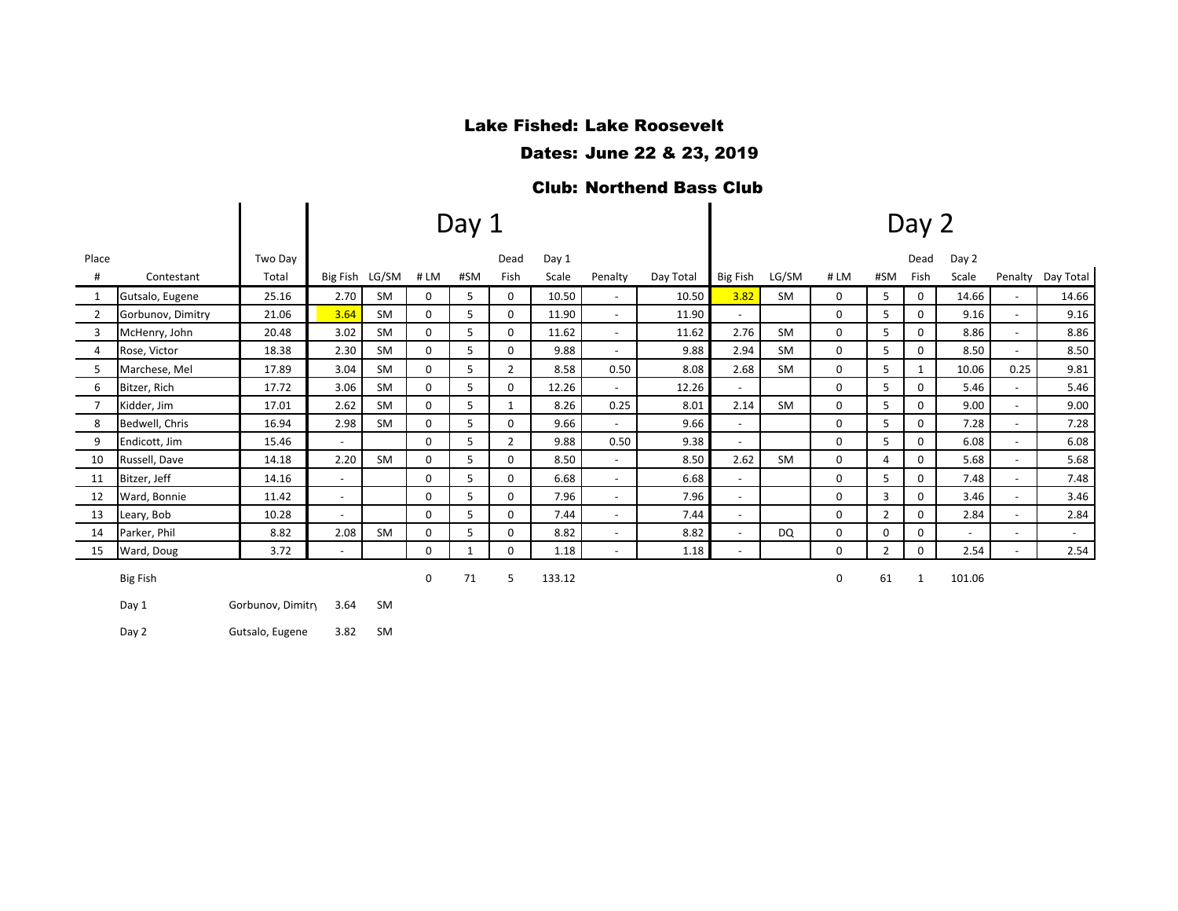# Lake Fished: Lake Roosevelt

Dates: June 22 & 23, 2019

#### Club: Northend Bass Club

|                |                   |         |                          |           |          | Day 1 |                |        |                          | Day 2     |                          |           |             |                |              |                          |                          |           |  |
|----------------|-------------------|---------|--------------------------|-----------|----------|-------|----------------|--------|--------------------------|-----------|--------------------------|-----------|-------------|----------------|--------------|--------------------------|--------------------------|-----------|--|
| Place          |                   | Two Dav |                          |           |          |       | Dead           | Day 1  |                          |           |                          |           |             |                | Dead         | Day 2                    |                          |           |  |
| #              | Contestant        | Total   | Big Fish LG/SM           |           | #LM      | #SM   | Fish           | Scale  | Penalty                  | Day Total | Big Fish                 | LG/SM     | #LM         | #SM            | Fish         | Scale                    | Penalty                  | Day Total |  |
|                | Gutsalo, Eugene   | 25.16   | 2.70                     | <b>SM</b> | 0        | 5     | $\mathbf{0}$   | 10.50  | $\overline{\phantom{a}}$ | 10.50     | 3.82                     | <b>SM</b> | 0           | 5              | $\mathbf{0}$ | 14.66                    | $\sim$                   | 14.66     |  |
| $\overline{2}$ | Gorbunov, Dimitry | 21.06   | 3.64                     | <b>SM</b> | $\Omega$ | 5     | $\Omega$       | 11.90  | $\overline{\phantom{a}}$ | 11.90     |                          |           | $\Omega$    | 5              | $\Omega$     | 9.16                     | $\sim$                   | 9.16      |  |
| 3              | McHenry, John     | 20.48   | 3.02                     | <b>SM</b> | 0        | 5     | 0              | 11.62  | $\blacksquare$           | 11.62     | 2.76                     | <b>SM</b> | 0           | 5              | 0            | 8.86                     | $\sim$                   | 8.86      |  |
| 4              | Rose, Victor      | 18.38   | 2.30                     | <b>SM</b> | 0        | 5     | 0              | 9.88   | $\overline{\phantom{0}}$ | 9.88      | 2.94                     | <b>SM</b> | 0           | 5              | 0            | 8.50                     | $\overline{\phantom{a}}$ | 8.50      |  |
| 5              | Marchese, Mel     | 17.89   | 3.04                     | <b>SM</b> | 0        | 5     | $\overline{2}$ | 8.58   | 0.50                     | 8.08      | 2.68                     | <b>SM</b> | 0           | 5              |              | 10.06                    | 0.25                     | 9.81      |  |
| 6              | Bitzer, Rich      | 17.72   | 3.06                     | <b>SM</b> | $\Omega$ | 5     | 0              | 12.26  | $\overline{\phantom{0}}$ | 12.26     | $\sim$                   |           | $\Omega$    | 5              | 0            | 5.46                     | $\sim$                   | 5.46      |  |
| $\overline{7}$ | Kidder, Jim       | 17.01   | 2.62                     | <b>SM</b> | $\Omega$ | 5     | $\mathbf{1}$   | 8.26   | 0.25                     | 8.01      | 2.14                     | <b>SM</b> | 0           | 5              | $\Omega$     | 9.00                     | $\sim$                   | 9.00      |  |
| 8              | Bedwell, Chris    | 16.94   | 2.98                     | <b>SM</b> | $\Omega$ | 5.    | $\Omega$       | 9.66   | $\overline{\phantom{0}}$ | 9.66      | $\overline{\phantom{0}}$ |           | $\Omega$    | 5              | $\Omega$     | 7.28                     | $\sim$                   | 7.28      |  |
| 9              | Endicott, Jim     | 15.46   | $\sim$                   |           | $\Omega$ | 5     | $\overline{2}$ | 9.88   | 0.50                     | 9.38      | $\sim$                   |           | $\mathbf 0$ | 5              | 0            | 6.08                     | $\sim$                   | 6.08      |  |
| 10             | Russell, Dave     | 14.18   | 2.20                     | <b>SM</b> | 0        | 5     | $\Omega$       | 8.50   | $\overline{\phantom{0}}$ | 8.50      | 2.62                     | <b>SM</b> | 0           | 4              | 0            | 5.68                     | $\sim$                   | 5.68      |  |
| 11             | Bitzer, Jeff      | 14.16   | $\sim$                   |           | 0        | 5     | $\Omega$       | 6.68   | $\overline{\phantom{a}}$ | 6.68      | $\sim$                   |           | 0           | 5              | 0            | 7.48                     | $\sim$                   | 7.48      |  |
| 12             | Ward, Bonnie      | 11.42   | $\sim$                   |           | $\Omega$ | 5     | $\Omega$       | 7.96   | $\overline{\phantom{a}}$ | 7.96      | $\overline{\phantom{0}}$ |           | 0           | 3              | $\Omega$     | 3.46                     | $\sim$                   | 3.46      |  |
| 13             | Leary, Bob        | 10.28   |                          |           | $\Omega$ | 5     | 0              | 7.44   | $\overline{\phantom{0}}$ | 7.44      | $\overline{\phantom{a}}$ |           | 0           | $\overline{2}$ | 0            | 2.84                     | $\sim$                   | 2.84      |  |
| 14             | Parker, Phil      | 8.82    | 2.08                     | SM        | 0        | 5     | 0              | 8.82   | $\overline{\phantom{a}}$ | 8.82      | $\sim$                   | <b>DQ</b> | 0           | 0              | 0            | $\overline{\phantom{a}}$ | $\sim$                   | $\sim$    |  |
| 15             | Ward, Doug        | 3.72    | $\overline{\phantom{a}}$ |           | $\Omega$ |       | $\Omega$       | 1.18   | $\overline{\phantom{a}}$ | 1.18      | ٠                        |           | 0           | $\overline{2}$ | $\Omega$     | 2.54                     | $\sim$                   | 2.54      |  |
|                | <b>Big Fish</b>   |         |                          |           | 0        | 71    | 5              | 133.12 |                          |           |                          |           | 0           | 61             |              | 101.06                   |                          |           |  |

Day 1 Gorbunov, Dimitry 3.64 SM

Day 2 Gutsalo, Eugene 3.82 SM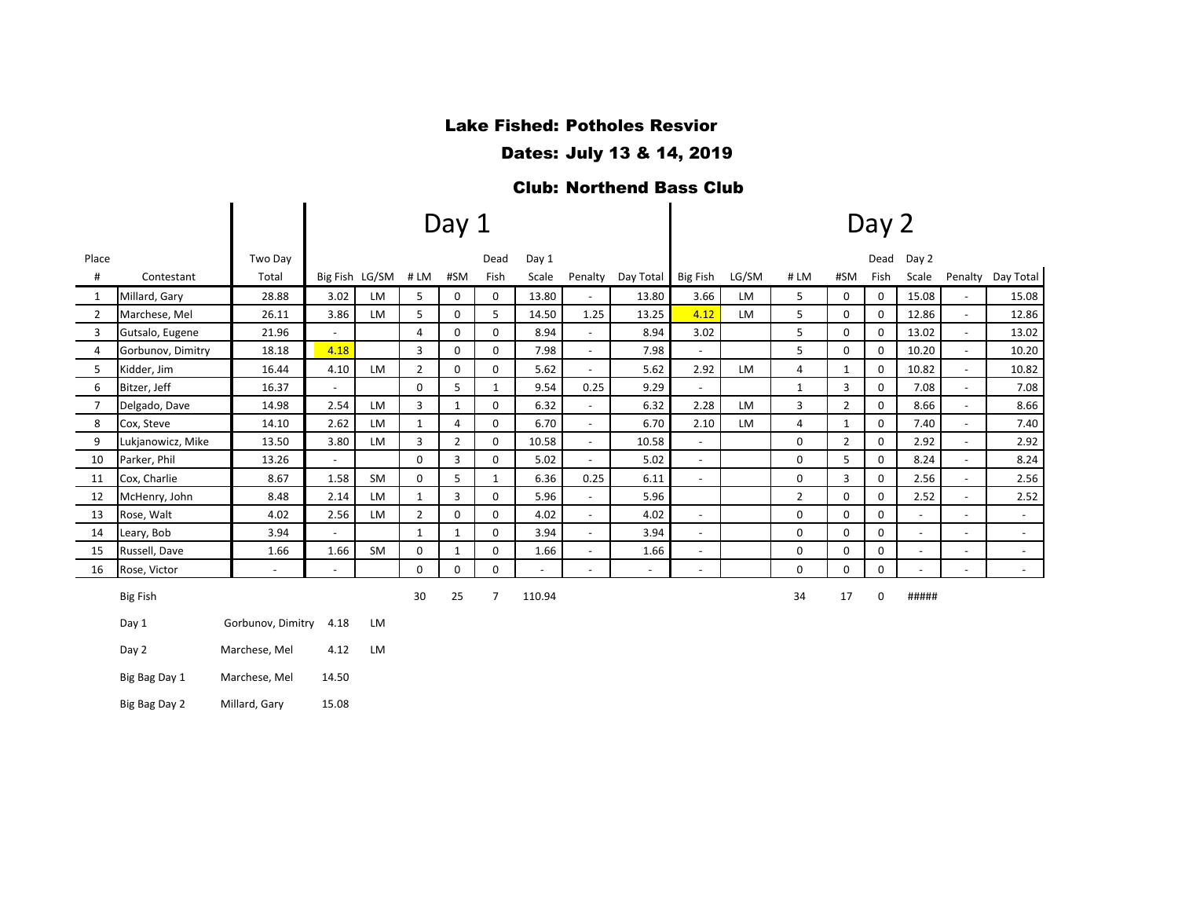# Lake Fished: Potholes Resvior

Dates: July 13 & 14, 2019

#### Club: Northend Bass Club

|                |                   |                   |                          |                |                | Day 1          |                | Day 2          |                          |                |                          |           |                |                |      |                |                          |           |
|----------------|-------------------|-------------------|--------------------------|----------------|----------------|----------------|----------------|----------------|--------------------------|----------------|--------------------------|-----------|----------------|----------------|------|----------------|--------------------------|-----------|
| Place          |                   | Two Day           |                          |                |                |                | Dead           | Day 1          |                          |                |                          |           |                |                | Dead | Day 2          |                          |           |
| #              | Contestant        | Total             |                          | Big Fish LG/SM | #LM            | #SM            | Fish           | Scale          | Penalty                  | Day Total      | Big Fish                 | LG/SM     | #LM            | #SM            | Fish | Scale          | Penalty                  | Day Total |
| 1              | Millard, Gary     | 28.88             | 3.02                     | <b>LM</b>      | 5              | 0              | 0              | 13.80          | $\overline{\phantom{a}}$ | 13.80          | 3.66                     | LM        | 5              | 0              | 0    | 15.08          |                          | 15.08     |
| 2              | Marchese, Mel     | 26.11             | 3.86                     | <b>LM</b>      | 5              | 0              | 5              | 14.50          | 1.25                     | 13.25          | 4.12                     | <b>LM</b> | 5              | 0              | 0    | 12.86          |                          | 12.86     |
| 3              | Gutsalo, Eugene   | 21.96             | $\blacksquare$           |                | $\overline{4}$ | $\mathbf 0$    | 0              | 8.94           | $\blacksquare$           | 8.94           | 3.02                     |           | 5              | $\mathbf 0$    | 0    | 13.02          | $\sim$                   | 13.02     |
| 4              | Gorbunov, Dimitry | 18.18             | 4.18                     |                | 3              | $\mathbf 0$    | 0              | 7.98           | $\overline{\phantom{a}}$ | 7.98           | $\blacksquare$           |           | 5              | 0              | 0    | 10.20          | $\sim$                   | 10.20     |
| 5              | Kidder, Jim       | 16.44             | 4.10                     | <b>LM</b>      | $\overline{2}$ | 0              | 0              | 5.62           | $\overline{\phantom{a}}$ | 5.62           | 2.92                     | LM        | 4              | $\mathbf{1}$   | 0    | 10.82          | $\sim$                   | 10.82     |
| 6              | Bitzer, Jeff      | 16.37             | $\overline{\phantom{a}}$ |                | 0              | 5              | $\mathbf{1}$   | 9.54           | 0.25                     | 9.29           | $\blacksquare$           |           | 1              | 3              | 0    | 7.08           |                          | 7.08      |
| $\overline{7}$ | Delgado, Dave     | 14.98             | 2.54                     | <b>LM</b>      | 3              | $\mathbf{1}$   | 0              | 6.32           | $\sim$                   | 6.32           | 2.28                     | <b>LM</b> | 3              | $\overline{2}$ | 0    | 8.66           |                          | 8.66      |
| 8              | Cox, Steve        | 14.10             | 2.62                     | <b>LM</b>      | $\mathbf{1}$   | 4              | 0              | 6.70           | $\blacksquare$           | 6.70           | 2.10                     | <b>LM</b> | 4              | $\mathbf{1}$   | 0    | 7.40           | $\sim$                   | 7.40      |
| 9              | Lukjanowicz, Mike | 13.50             | 3.80                     | <b>LM</b>      | 3              | $\overline{2}$ | 0              | 10.58          | $\overline{\phantom{a}}$ | 10.58          | $\sim$                   |           | 0              | $\overline{2}$ | 0    | 2.92           | $\sim$                   | 2.92      |
| 10             | Parker, Phil      | 13.26             | $\overline{\phantom{a}}$ |                | $\mathbf 0$    | 3              | 0              | 5.02           | $\overline{\phantom{a}}$ | 5.02           | $\sim$                   |           | 0              | 5              | 0    | 8.24           | $\overline{\phantom{a}}$ | 8.24      |
| 11             | Cox, Charlie      | 8.67              | 1.58                     | <b>SM</b>      | $\mathbf 0$    | 5              | $\mathbf{1}$   | 6.36           | 0.25                     | 6.11           | $\overline{\phantom{a}}$ |           | 0              | 3              | 0    | 2.56           |                          | 2.56      |
| 12             | McHenry, John     | 8.48              | 2.14                     | <b>LM</b>      | $\mathbf{1}$   | 3              | 0              | 5.96           | $\sim$                   | 5.96           |                          |           | $\overline{2}$ | $\Omega$       | 0    | 2.52           |                          | 2.52      |
| 13             | Rose, Walt        | 4.02              | 2.56                     | LM             | $\overline{2}$ | 0              | 0              | 4.02           | $\overline{\phantom{a}}$ | 4.02           | $\blacksquare$           |           | 0              | 0              | 0    | $\sim$         |                          | $\sim$    |
| 14             | Leary, Bob        | 3.94              | $\blacksquare$           |                | $\mathbf{1}$   | 1              | 0              | 3.94           | $\sim$                   | 3.94           | $\omega$                 |           | 0              | 0              | 0    | $\sim$         | $\overline{a}$           | $\sim$    |
| 15             | Russell, Dave     | 1.66              | 1.66                     | SM             | 0              | $\mathbf{1}$   | 0              | 1.66           | $\overline{\phantom{a}}$ | 1.66           | $\overline{\phantom{a}}$ |           | 0              | 0              | 0    | $\blacksquare$ | $\blacksquare$           | $\sim$    |
| 16             | Rose, Victor      |                   | $\overline{\phantom{a}}$ |                | $\mathbf 0$    | $\mathbf 0$    | 0              | $\overline{a}$ |                          | $\blacksquare$ | $\blacksquare$           |           | 0              | 0              | 0    |                |                          | $\sim$    |
|                | <b>Big Fish</b>   |                   |                          |                | 30             | 25             | $\overline{7}$ | 110.94         |                          |                |                          |           | 34             | 17             | 0    | #####          |                          |           |
|                | Day 1             | Gorbunov, Dimitry | 4.18                     | LM             |                |                |                |                |                          |                |                          |           |                |                |      |                |                          |           |
|                | Day 2             | Marchese, Mel     | 4.12                     | <b>LM</b>      |                |                |                |                |                          |                |                          |           |                |                |      |                |                          |           |
|                | Big Bag Day 1     | Marchese, Mel     | 14.50                    |                |                |                |                |                |                          |                |                          |           |                |                |      |                |                          |           |

Big Bag Day 2 Millard, Gary 15.08